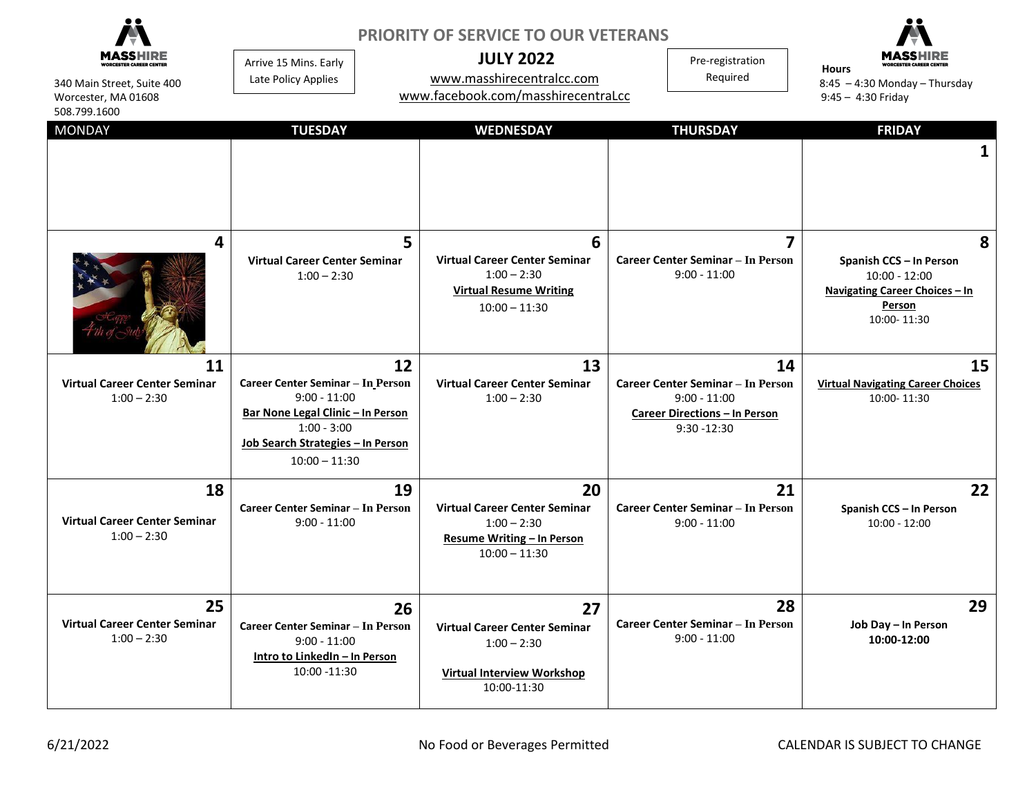| 340 Main Street, Suite 400<br>Worcester, MA 01608<br>508.799.1600 | <b>PRIORITY OF SERVICE TO OUR VETERANS</b><br><b>JULY 2022</b><br>Pre-registration<br>Arrive 15 Mins. Early<br>Required<br>www.masshirecentralcc.com<br>Late Policy Applies<br>www.facebook.com/masshirecentraLcc |                                                                                                                 |                                                                                                                            | <b>Hours</b><br>$8:45 - 4:30$ Monday - Thursday<br>$9:45 - 4:30$ Friday                                           |
|-------------------------------------------------------------------|-------------------------------------------------------------------------------------------------------------------------------------------------------------------------------------------------------------------|-----------------------------------------------------------------------------------------------------------------|----------------------------------------------------------------------------------------------------------------------------|-------------------------------------------------------------------------------------------------------------------|
| <b>MONDAY</b>                                                     | <b>TUESDAY</b>                                                                                                                                                                                                    | <b>WEDNESDAY</b>                                                                                                | <b>THURSDAY</b>                                                                                                            | <b>FRIDAY</b>                                                                                                     |
| 4                                                                 | 5<br><b>Virtual Career Center Seminar</b><br>$1:00 - 2:30$                                                                                                                                                        | 6<br><b>Virtual Career Center Seminar</b><br>$1:00 - 2:30$<br><b>Virtual Resume Writing</b><br>$10:00 - 11:30$  | 7<br><b>Career Center Seminar - In Person</b><br>$9:00 - 11:00$                                                            | 8<br>Spanish CCS - In Person<br>$10:00 - 12:00$<br>Navigating Career Choices - In<br><b>Person</b><br>10:00-11:30 |
| 11<br><b>Virtual Career Center Seminar</b><br>$1:00 - 2:30$       | 12<br>Career Center Seminar - In Person<br>$9:00 - 11:00$<br>Bar None Legal Clinic - In Person<br>$1:00 - 3:00$<br>Job Search Strategies - In Person<br>$10:00 - 11:30$                                           | 13<br><b>Virtual Career Center Seminar</b><br>$1:00 - 2:30$                                                     | 14<br><b>Career Center Seminar - In Person</b><br>$9:00 - 11:00$<br><b>Career Directions - In Person</b><br>$9:30 - 12:30$ | 15<br><b>Virtual Navigating Career Choices</b><br>10:00-11:30                                                     |
| 18<br><b>Virtual Career Center Seminar</b><br>$1:00 - 2:30$       | 19<br>Career Center Seminar - In Person<br>$9:00 - 11:00$                                                                                                                                                         | 20<br><b>Virtual Career Center Seminar</b><br>$1:00 - 2:30$<br>Resume Writing - In Person<br>$10:00 - 11:30$    | 21<br><b>Career Center Seminar - In Person</b><br>$9:00 - 11:00$                                                           | 22<br>Spanish CCS - In Person<br>$10:00 - 12:00$                                                                  |
| 25<br><b>Virtual Career Center Seminar</b><br>$1:00 - 2:30$       | 26<br>Career Center Seminar - In Person<br>$9:00 - 11:00$<br>Intro to LinkedIn - In Person<br>10:00 -11:30                                                                                                        | 27<br><b>Virtual Career Center Seminar</b><br>$1:00 - 2:30$<br><b>Virtual Interview Workshop</b><br>10:00-11:30 | 28<br><b>Career Center Seminar - In Person</b><br>$9:00 - 11:00$                                                           | 29<br>Job Day - In Person<br>10:00-12:00                                                                          |